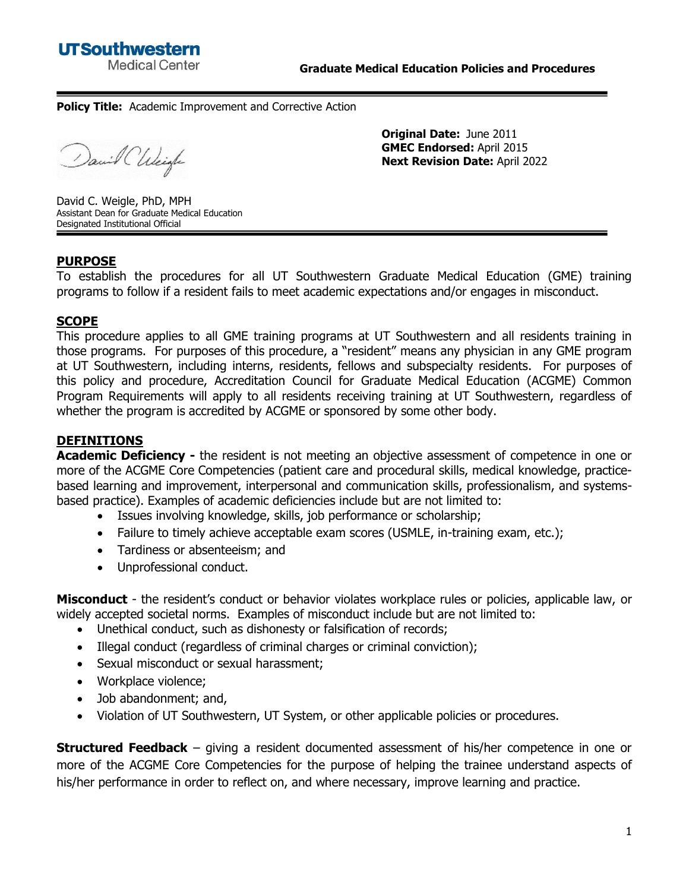#### **Policy Title:** Academic Improvement and Corrective Action

David Chleigh

**Original Date:** June 2011 **GMEC Endorsed:** April 2015 **Next Revision Date:** April 2022

David C. Weigle, PhD, MPH Assistant Dean for Graduate Medical Education Designated Institutional Official

#### **PURPOSE**

To establish the procedures for all UT Southwestern Graduate Medical Education (GME) training programs to follow if a resident fails to meet academic expectations and/or engages in misconduct.

#### **SCOPE**

This procedure applies to all GME training programs at UT Southwestern and all residents training in those programs. For purposes of this procedure, a "resident" means any physician in any GME program at UT Southwestern, including interns, residents, fellows and subspecialty residents. For purposes of this policy and procedure, Accreditation Council for Graduate Medical Education (ACGME) Common Program Requirements will apply to all residents receiving training at UT Southwestern, regardless of whether the program is accredited by ACGME or sponsored by some other body.

## **DEFINITIONS**

**Academic Deficiency** - the resident is not meeting an objective assessment of competence in one or more of the ACGME Core Competencies (patient care and procedural skills, medical knowledge, practicebased learning and improvement, interpersonal and communication skills, professionalism, and systemsbased practice). Examples of academic deficiencies include but are not limited to:

- Issues involving knowledge, skills, job performance or scholarship;
- Failure to timely achieve acceptable exam scores (USMLE, in-training exam, etc.);
- Tardiness or absenteeism; and
- Unprofessional conduct.

**Misconduct** - the resident's conduct or behavior violates workplace rules or policies, applicable law, or widely accepted societal norms. Examples of misconduct include but are not limited to:

- Unethical conduct, such as dishonesty or falsification of records;
- Illegal conduct (regardless of criminal charges or criminal conviction);
- Sexual misconduct or sexual harassment;
- Workplace violence;
- Job abandonment; and,
- Violation of UT Southwestern, UT System, or other applicable policies or procedures.

**Structured Feedback** – giving a resident documented assessment of his/her competence in one or more of the ACGME Core Competencies for the purpose of helping the trainee understand aspects of his/her performance in order to reflect on, and where necessary, improve learning and practice.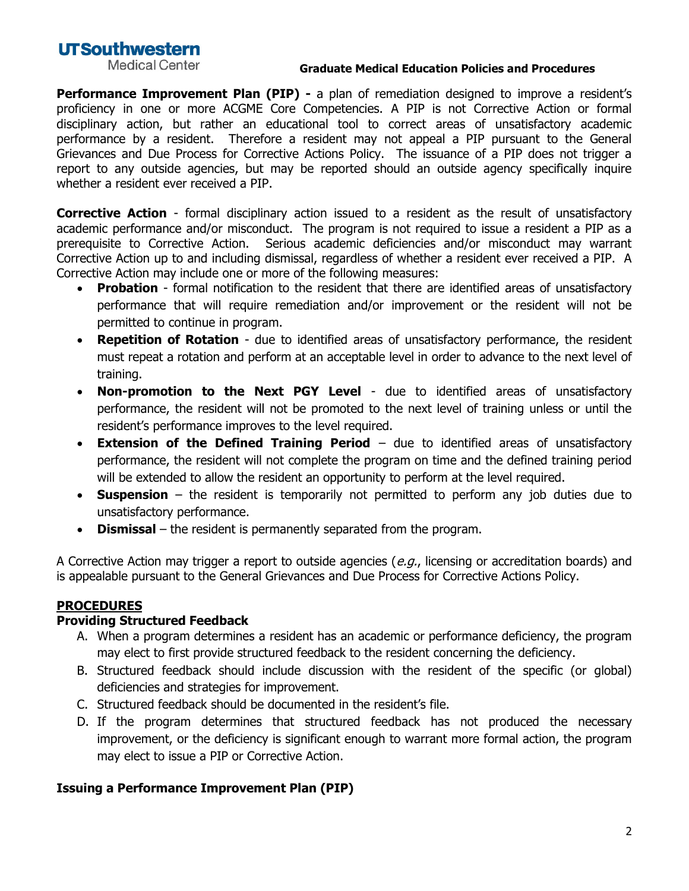# **UTSouthwestern**

**Medical Center** 

#### **Graduate Medical Education Policies and Procedures**

**Performance Improvement Plan (PIP) -** a plan of remediation designed to improve a resident's proficiency in one or more ACGME Core Competencies. A PIP is not Corrective Action or formal disciplinary action, but rather an educational tool to correct areas of unsatisfactory academic performance by a resident. Therefore a resident may not appeal a PIP pursuant to the General Grievances and Due Process for Corrective Actions Policy. The issuance of a PIP does not trigger a report to any outside agencies, but may be reported should an outside agency specifically inquire whether a resident ever received a PIP.

**Corrective Action** - formal disciplinary action issued to a resident as the result of unsatisfactory academic performance and/or misconduct. The program is not required to issue a resident a PIP as a prerequisite to Corrective Action. Serious academic deficiencies and/or misconduct may warrant Corrective Action up to and including dismissal, regardless of whether a resident ever received a PIP. A Corrective Action may include one or more of the following measures:

- **Probation** formal notification to the resident that there are identified areas of unsatisfactory performance that will require remediation and/or improvement or the resident will not be permitted to continue in program.
- **Repetition of Rotation** due to identified areas of unsatisfactory performance, the resident must repeat a rotation and perform at an acceptable level in order to advance to the next level of training.
- **Non-promotion to the Next PGY Level** due to identified areas of unsatisfactory performance, the resident will not be promoted to the next level of training unless or until the resident's performance improves to the level required.
- **Extension of the Defined Training Period** due to identified areas of unsatisfactory performance, the resident will not complete the program on time and the defined training period will be extended to allow the resident an opportunity to perform at the level required.
- **Suspension** the resident is temporarily not permitted to perform any job duties due to unsatisfactory performance.
- **Dismissal**  the resident is permanently separated from the program.

A Corrective Action may trigger a report to outside agencies (e.g., licensing or accreditation boards) and is appealable pursuant to the General Grievances and Due Process for Corrective Actions Policy.

### **PROCEDURES**

### **Providing Structured Feedback**

- A. When a program determines a resident has an academic or performance deficiency, the program may elect to first provide structured feedback to the resident concerning the deficiency.
- B. Structured feedback should include discussion with the resident of the specific (or global) deficiencies and strategies for improvement.
- C. Structured feedback should be documented in the resident's file.
- D. If the program determines that structured feedback has not produced the necessary improvement, or the deficiency is significant enough to warrant more formal action, the program may elect to issue a PIP or Corrective Action.

### **Issuing a Performance Improvement Plan (PIP)**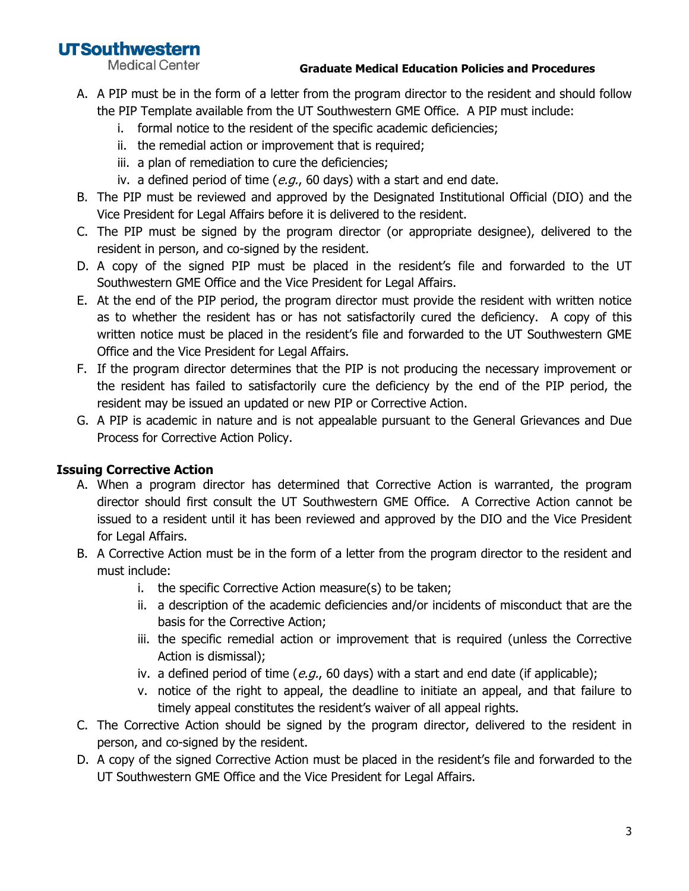# **UTSouthwestern**

**Medical Center** 

#### **Graduate Medical Education Policies and Procedures**

- A. A PIP must be in the form of a letter from the program director to the resident and should follow the PIP Template available from the UT Southwestern GME Office. A PIP must include:
	- i. formal notice to the resident of the specific academic deficiencies;
	- ii. the remedial action or improvement that is required;
	- iii. a plan of remediation to cure the deficiencies;
	- iv. a defined period of time ( $e.g.,$  60 days) with a start and end date.
- B. The PIP must be reviewed and approved by the Designated Institutional Official (DIO) and the Vice President for Legal Affairs before it is delivered to the resident.
- C. The PIP must be signed by the program director (or appropriate designee), delivered to the resident in person, and co-signed by the resident.
- D. A copy of the signed PIP must be placed in the resident's file and forwarded to the UT Southwestern GME Office and the Vice President for Legal Affairs.
- E. At the end of the PIP period, the program director must provide the resident with written notice as to whether the resident has or has not satisfactorily cured the deficiency. A copy of this written notice must be placed in the resident's file and forwarded to the UT Southwestern GME Office and the Vice President for Legal Affairs.
- F. If the program director determines that the PIP is not producing the necessary improvement or the resident has failed to satisfactorily cure the deficiency by the end of the PIP period, the resident may be issued an updated or new PIP or Corrective Action.
- G. A PIP is academic in nature and is not appealable pursuant to the General Grievances and Due Process for Corrective Action Policy.

## **Issuing Corrective Action**

- A. When a program director has determined that Corrective Action is warranted, the program director should first consult the UT Southwestern GME Office. A Corrective Action cannot be issued to a resident until it has been reviewed and approved by the DIO and the Vice President for Legal Affairs.
- B. A Corrective Action must be in the form of a letter from the program director to the resident and must include:
	- i. the specific Corrective Action measure(s) to be taken;
	- ii. a description of the academic deficiencies and/or incidents of misconduct that are the basis for the Corrective Action;
	- iii. the specific remedial action or improvement that is required (unless the Corrective Action is dismissal);
	- iv. a defined period of time (e.g., 60 days) with a start and end date (if applicable);
	- v. notice of the right to appeal, the deadline to initiate an appeal, and that failure to timely appeal constitutes the resident's waiver of all appeal rights.
- C. The Corrective Action should be signed by the program director, delivered to the resident in person, and co-signed by the resident.
- D. A copy of the signed Corrective Action must be placed in the resident's file and forwarded to the UT Southwestern GME Office and the Vice President for Legal Affairs.